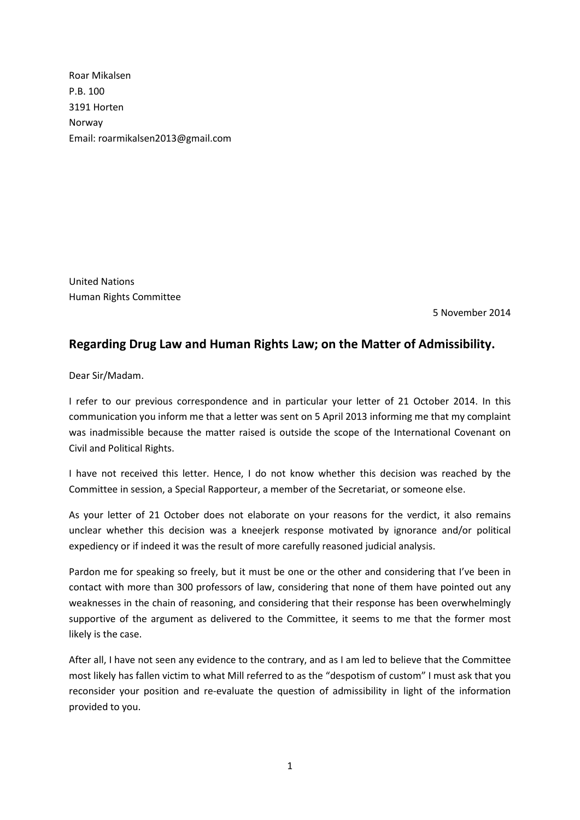Roar Mikalsen P.B. 100 3191 Horten Norway Email: roarmikalsen2013@gmail.com

United Nations Human Rights Committee

5 November 2014

## **Regarding Drug Law and Human Rights Law; on the Matter of Admissibility.**

Dear Sir/Madam.

I refer to our previous correspondence and in particular your letter of 21 October 2014. In this communication you inform me that a letter was sent on 5 April 2013 informing me that my complaint was inadmissible because the matter raised is outside the scope of the International Covenant on Civil and Political Rights.

I have not received this letter. Hence, I do not know whether this decision was reached by the Committee in session, a Special Rapporteur, a member of the Secretariat, or someone else.

As your letter of 21 October does not elaborate on your reasons for the verdict, it also remains unclear whether this decision was a kneejerk response motivated by ignorance and/or political expediency or if indeed it was the result of more carefully reasoned judicial analysis.

Pardon me for speaking so freely, but it must be one or the other and considering that I've been in contact with more than 300 professors of law, considering that none of them have pointed out any weaknesses in the chain of reasoning, and considering that their response has been overwhelmingly supportive of the argument as delivered to the Committee, it seems to me that the former most likely is the case.

After all, I have not seen any evidence to the contrary, and as I am led to believe that the Committee most likely has fallen victim to what Mill referred to as the "despotism of custom" I must ask that you reconsider your position and re-evaluate the question of admissibility in light of the information provided to you.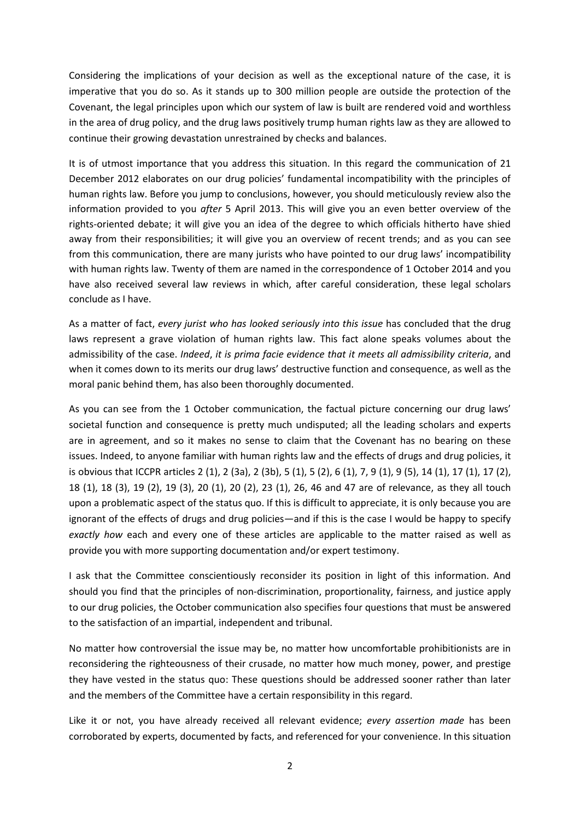Considering the implications of your decision as well as the exceptional nature of the case, it is imperative that you do so. As it stands up to 300 million people are outside the protection of the Covenant, the legal principles upon which our system of law is built are rendered void and worthless in the area of drug policy, and the drug laws positively trump human rights law as they are allowed to continue their growing devastation unrestrained by checks and balances.

It is of utmost importance that you address this situation. In this regard the communication of 21 December 2012 elaborates on our drug policies' fundamental incompatibility with the principles of human rights law. Before you jump to conclusions, however, you should meticulously review also the information provided to you *after* 5 April 2013. This will give you an even better overview of the rights-oriented debate; it will give you an idea of the degree to which officials hitherto have shied away from their responsibilities; it will give you an overview of recent trends; and as you can see from this communication, there are many jurists who have pointed to our drug laws' incompatibility with human rights law. Twenty of them are named in the correspondence of 1 October 2014 and you have also received several law reviews in which, after careful consideration, these legal scholars conclude as I have.

As a matter of fact, *every jurist who has looked seriously into this issue* has concluded that the drug laws represent a grave violation of human rights law. This fact alone speaks volumes about the admissibility of the case. *Indeed*, *it is prima facie evidence that it meets all admissibility criteria*, and when it comes down to its merits our drug laws' destructive function and consequence, as well as the moral panic behind them, has also been thoroughly documented.

As you can see from the 1 October communication, the factual picture concerning our drug laws' societal function and consequence is pretty much undisputed; all the leading scholars and experts are in agreement, and so it makes no sense to claim that the Covenant has no bearing on these issues. Indeed, to anyone familiar with human rights law and the effects of drugs and drug policies, it is obvious that ICCPR articles 2 (1), 2 (3a), 2 (3b), 5 (1), 5 (2), 6 (1), 7, 9 (1), 9 (5), 14 (1), 17 (1), 17 (2), 18 (1), 18 (3), 19 (2), 19 (3), 20 (1), 20 (2), 23 (1), 26, 46 and 47 are of relevance, as they all touch upon a problematic aspect of the status quo. If this is difficult to appreciate, it is only because you are ignorant of the effects of drugs and drug policies—and if this is the case I would be happy to specify *exactly how* each and every one of these articles are applicable to the matter raised as well as provide you with more supporting documentation and/or expert testimony.

I ask that the Committee conscientiously reconsider its position in light of this information. And should you find that the principles of non-discrimination, proportionality, fairness, and justice apply to our drug policies, the October communication also specifies four questions that must be answered to the satisfaction of an impartial, independent and tribunal.

No matter how controversial the issue may be, no matter how uncomfortable prohibitionists are in reconsidering the righteousness of their crusade, no matter how much money, power, and prestige they have vested in the status quo: These questions should be addressed sooner rather than later and the members of the Committee have a certain responsibility in this regard.

Like it or not, you have already received all relevant evidence; *every assertion made* has been corroborated by experts, documented by facts, and referenced for your convenience. In this situation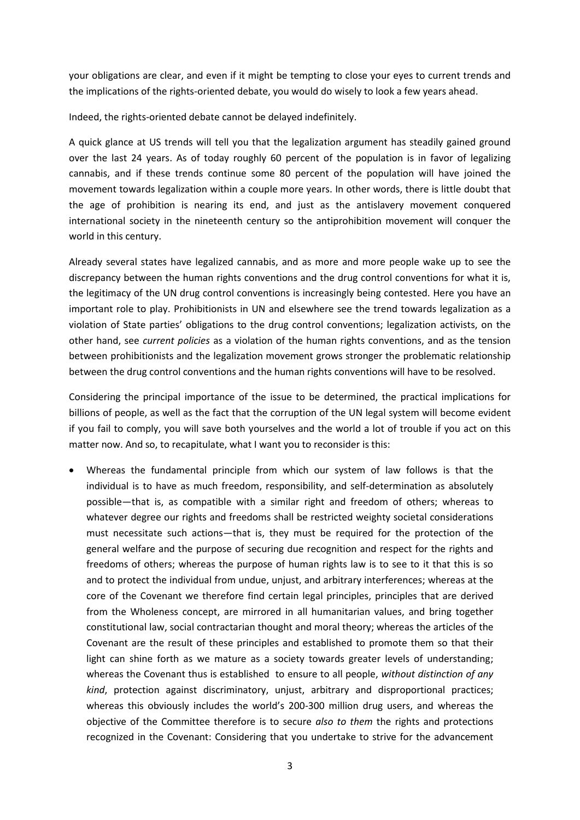your obligations are clear, and even if it might be tempting to close your eyes to current trends and the implications of the rights-oriented debate, you would do wisely to look a few years ahead.

Indeed, the rights-oriented debate cannot be delayed indefinitely.

A quick glance at US trends will tell you that the legalization argument has steadily gained ground over the last 24 years. As of today roughly 60 percent of the population is in favor of legalizing cannabis, and if these trends continue some 80 percent of the population will have joined the movement towards legalization within a couple more years. In other words, there is little doubt that the age of prohibition is nearing its end, and just as the antislavery movement conquered international society in the nineteenth century so the antiprohibition movement will conquer the world in this century.

Already several states have legalized cannabis, and as more and more people wake up to see the discrepancy between the human rights conventions and the drug control conventions for what it is, the legitimacy of the UN drug control conventions is increasingly being contested. Here you have an important role to play. Prohibitionists in UN and elsewhere see the trend towards legalization as a violation of State parties' obligations to the drug control conventions; legalization activists, on the other hand, see *current policies* as a violation of the human rights conventions, and as the tension between prohibitionists and the legalization movement grows stronger the problematic relationship between the drug control conventions and the human rights conventions will have to be resolved.

Considering the principal importance of the issue to be determined, the practical implications for billions of people, as well as the fact that the corruption of the UN legal system will become evident if you fail to comply, you will save both yourselves and the world a lot of trouble if you act on this matter now. And so, to recapitulate, what I want you to reconsider is this:

 Whereas the fundamental principle from which our system of law follows is that the individual is to have as much freedom, responsibility, and self-determination as absolutely possible—that is, as compatible with a similar right and freedom of others; whereas to whatever degree our rights and freedoms shall be restricted weighty societal considerations must necessitate such actions—that is, they must be required for the protection of the general welfare and the purpose of securing due recognition and respect for the rights and freedoms of others; whereas the purpose of human rights law is to see to it that this is so and to protect the individual from undue, unjust, and arbitrary interferences; whereas at the core of the Covenant we therefore find certain legal principles, principles that are derived from the Wholeness concept, are mirrored in all humanitarian values, and bring together constitutional law, social contractarian thought and moral theory; whereas the articles of the Covenant are the result of these principles and established to promote them so that their light can shine forth as we mature as a society towards greater levels of understanding; whereas the Covenant thus is established to ensure to all people, *without distinction of any kind*, protection against discriminatory, unjust, arbitrary and disproportional practices; whereas this obviously includes the world's 200-300 million drug users, and whereas the objective of the Committee therefore is to secure *also to them* the rights and protections recognized in the Covenant: Considering that you undertake to strive for the advancement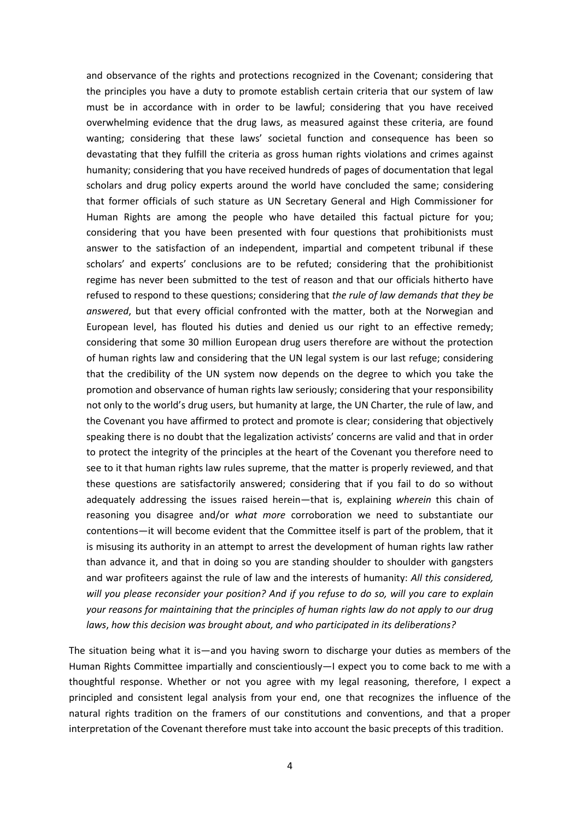and observance of the rights and protections recognized in the Covenant; considering that the principles you have a duty to promote establish certain criteria that our system of law must be in accordance with in order to be lawful; considering that you have received overwhelming evidence that the drug laws, as measured against these criteria, are found wanting; considering that these laws' societal function and consequence has been so devastating that they fulfill the criteria as gross human rights violations and crimes against humanity; considering that you have received hundreds of pages of documentation that legal scholars and drug policy experts around the world have concluded the same; considering that former officials of such stature as UN Secretary General and High Commissioner for Human Rights are among the people who have detailed this factual picture for you; considering that you have been presented with four questions that prohibitionists must answer to the satisfaction of an independent, impartial and competent tribunal if these scholars' and experts' conclusions are to be refuted; considering that the prohibitionist regime has never been submitted to the test of reason and that our officials hitherto have refused to respond to these questions; considering that *the rule of law demands that they be answered*, but that every official confronted with the matter, both at the Norwegian and European level, has flouted his duties and denied us our right to an effective remedy; considering that some 30 million European drug users therefore are without the protection of human rights law and considering that the UN legal system is our last refuge; considering that the credibility of the UN system now depends on the degree to which you take the promotion and observance of human rights law seriously; considering that your responsibility not only to the world's drug users, but humanity at large, the UN Charter, the rule of law, and the Covenant you have affirmed to protect and promote is clear; considering that objectively speaking there is no doubt that the legalization activists' concerns are valid and that in order to protect the integrity of the principles at the heart of the Covenant you therefore need to see to it that human rights law rules supreme, that the matter is properly reviewed, and that these questions are satisfactorily answered; considering that if you fail to do so without adequately addressing the issues raised herein—that is, explaining *wherein* this chain of reasoning you disagree and/or *what more* corroboration we need to substantiate our contentions—it will become evident that the Committee itself is part of the problem, that it is misusing its authority in an attempt to arrest the development of human rights law rather than advance it, and that in doing so you are standing shoulder to shoulder with gangsters and war profiteers against the rule of law and the interests of humanity: *All this considered, will you please reconsider your position? And if you refuse to do so, will you care to explain your reasons for maintaining that the principles of human rights law do not apply to our drug laws*, *how this decision was brought about, and who participated in its deliberations?*

The situation being what it is—and you having sworn to discharge your duties as members of the Human Rights Committee impartially and conscientiously—I expect you to come back to me with a thoughtful response. Whether or not you agree with my legal reasoning, therefore, I expect a principled and consistent legal analysis from your end, one that recognizes the influence of the natural rights tradition on the framers of our constitutions and conventions, and that a proper interpretation of the Covenant therefore must take into account the basic precepts of this tradition.